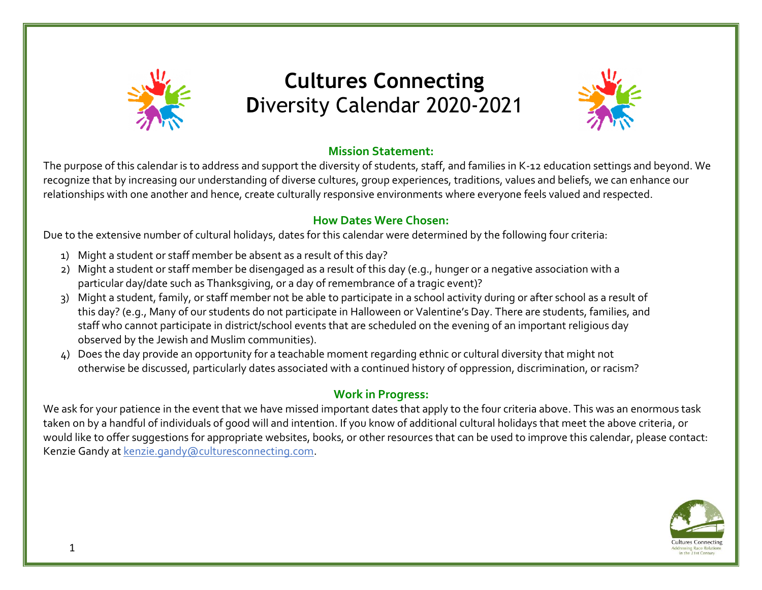

# **Cultures Connecting D**iversity Calendar 2020-2021



#### **Mission Statement:**

The purpose of this calendar is to address and support the diversity of students, staff, and families in K-12 education settings and beyond. We recognize that by increasing our understanding of diverse cultures, group experiences, traditions, values and beliefs, we can enhance our relationships with one another and hence, create culturally responsive environments where everyone feels valued and respected.

#### **How Dates Were Chosen:**

Due to the extensive number of cultural holidays, dates for this calendar were determined by the following four criteria:

- 1) Might a student or staff member be absent as a result of this day?
- 2) Might a student or staff member be disengaged as a result of this day (e.g., hunger or a negative association with a particular day/date such as Thanksgiving, or a day of remembrance of a tragic event)?
- 3) Might a student, family, or staff member not be able to participate in a school activity during or after school as a result of this day? (e.g., Many of our students do not participate in Halloween or Valentine's Day. There are students, families, and staff who cannot participate in district/school events that are scheduled on the evening of an important religious day observed by the Jewish and Muslim communities).
- 4) Does the day provide an opportunity for a teachable moment regarding ethnic or cultural diversity that might not otherwise be discussed, particularly dates associated with a continued history of oppression, discrimination, or racism?

#### **Work in Progress:**

We ask for your patience in the event that we have missed important dates that apply to the four criteria above. This was an enormous task taken on by a handful of individuals of good will and intention. If you know of additional cultural holidays that meet the above criteria, or would like to offer suggestions for appropriate websites, books, or other resources that can be used to improve this calendar, please contact: Kenzie Gandy at [kenzie.gandy@culturesconnecting.com.](mailto:kenzie.gandy@culturesconnecting.com)

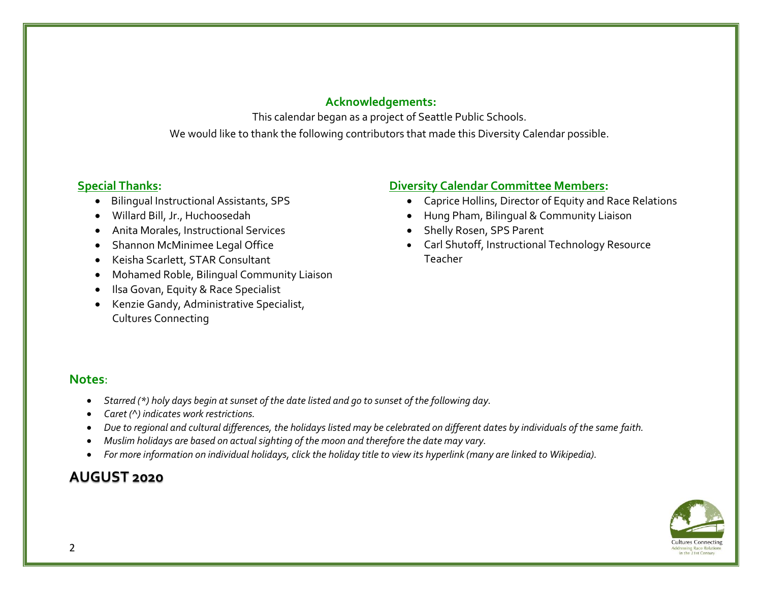#### **Acknowledgements:**

This calendar began as a project of Seattle Public Schools. We would like to thank the following contributors that made this Diversity Calendar possible.

#### **Special Thanks:**

- Bilingual Instructional Assistants, SPS
- Willard Bill, Jr., Huchoosedah
- Anita Morales, Instructional Services
- Shannon McMinimee Legal Office
- Keisha Scarlett, STAR Consultant
- Mohamed Roble, Bilingual Community Liaison
- Ilsa Govan, Equity & Race Specialist
- Kenzie Gandy, Administrative Specialist, Cultures Connecting

#### **Diversity Calendar Committee Members:**

- Caprice Hollins, Director of Equity and Race Relations
- Hung Pham, Bilingual & Community Liaison
- Shelly Rosen, SPS Parent
- Carl Shutoff, Instructional Technology Resource Teacher

#### **Notes**:

- *Starred (\*) holy days begin at sunset of the date listed and go to sunset of the following day.*
- *Caret (^) indicates work restrictions.*
- *Due to regional and cultural differences, the holidays listed may be celebrated on different dates by individuals of the same faith.*
- *Muslim holidays are based on actual sighting of the moon and therefore the date may vary.*
- *For more information on individual holidays, click the holiday title to view its hyperlink (many are linked to Wikipedia).*

# **AUGUST 2020**

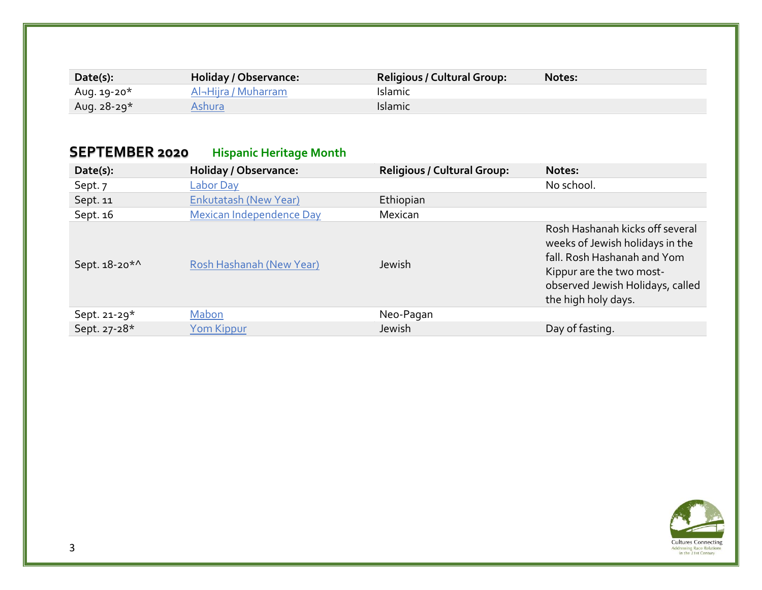| Date(s):    | Holiday / Observance: | <b>Religious / Cultural Group:</b> | Notes: |
|-------------|-----------------------|------------------------------------|--------|
| Aug. 19-20* | Al-Hijra / Muharram   | <b>Islamic</b>                     |        |
| Aug. 28-29* | Ashura                | Islamic                            |        |

# **SEPTEMBER 2020 Hispanic Heritage Month**

| Date(s):        | <b>Holiday / Observance:</b> | <b>Religious / Cultural Group:</b> | Notes:                                                                                                                                                                                   |
|-----------------|------------------------------|------------------------------------|------------------------------------------------------------------------------------------------------------------------------------------------------------------------------------------|
| Sept. 7         | <b>Labor Day</b>             |                                    | No school.                                                                                                                                                                               |
| Sept. 11        | <b>Enkutatash (New Year)</b> | Ethiopian                          |                                                                                                                                                                                          |
| Sept. 16        | Mexican Independence Day     | Mexican                            |                                                                                                                                                                                          |
| Sept. 18-20*^   | Rosh Hashanah (New Year)     | Jewish                             | Rosh Hashanah kicks off several<br>weeks of Jewish holidays in the<br>fall. Rosh Hashanah and Yom<br>Kippur are the two most-<br>observed Jewish Holidays, called<br>the high holy days. |
| Sept. 21-29 $*$ | Mabon                        | Neo-Pagan                          |                                                                                                                                                                                          |
| Sept. 27-28*    | Yom Kippur                   | Jewish                             | Day of fasting.                                                                                                                                                                          |

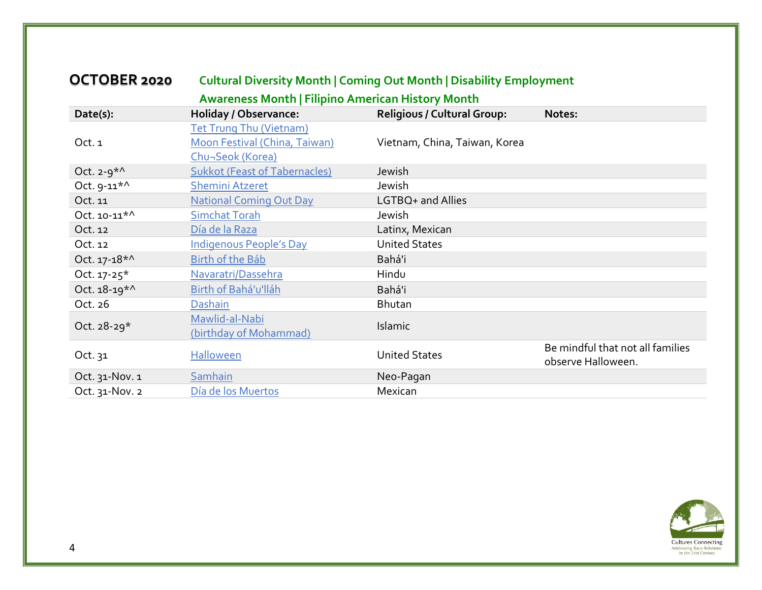| OCTOBER 2020                |                                                          | <b>Cultural Diversity Month   Coming Out Month   Disability Employment</b> |                                                        |
|-----------------------------|----------------------------------------------------------|----------------------------------------------------------------------------|--------------------------------------------------------|
|                             | <b>Awareness Month   Filipino American History Month</b> |                                                                            |                                                        |
| Date(s):                    | <b>Holiday / Observance:</b>                             | <b>Religious / Cultural Group:</b>                                         | Notes:                                                 |
|                             | Tet Trung Thu (Vietnam)                                  |                                                                            |                                                        |
| Oct. 1                      | Moon Festival (China, Taiwan)                            | Vietnam, China, Taiwan, Korea                                              |                                                        |
|                             | Chu-Seok (Korea)                                         |                                                                            |                                                        |
| Oct. $2-9*^{\wedge}$        | <b>Sukkot (Feast of Tabernacles)</b>                     | Jewish                                                                     |                                                        |
| Oct. 9-11*^                 | <b>Shemini Atzeret</b>                                   | Jewish                                                                     |                                                        |
| Oct. 11                     | <b>National Coming Out Day</b>                           | LGTBQ+ and Allies                                                          |                                                        |
| Oct. 10-11*^                | <b>Simchat Torah</b>                                     | Jewish                                                                     |                                                        |
| Oct. 12                     | Día de la Raza                                           | Latinx, Mexican                                                            |                                                        |
| Oct. 12                     | <b>Indigenous People's Day</b>                           | <b>United States</b>                                                       |                                                        |
| Oct. $17 - 18$ <sup>*</sup> | Birth of the Báb                                         | Bahá'i                                                                     |                                                        |
| Oct. $17 - 25^*$            | Navaratri/Dassehra                                       | Hindu                                                                      |                                                        |
| Oct. 18-19*^                | Birth of Bahá'u'lláh                                     | Bahá'i                                                                     |                                                        |
| Oct. 26                     | Dashain                                                  | Bhutan                                                                     |                                                        |
| Oct. $28-29*$               | Mawlid-al-Nabi                                           | Islamic                                                                    |                                                        |
|                             | (birthday of Mohammad)                                   |                                                                            |                                                        |
| Oct. $31$                   | Halloween                                                | <b>United States</b>                                                       | Be mindful that not all families<br>observe Halloween. |
| Oct. 31-Nov. 1              | Samhain                                                  | Neo-Pagan                                                                  |                                                        |
| Oct. 31-Nov. 2              | Día de los Muertos                                       | Mexican                                                                    |                                                        |

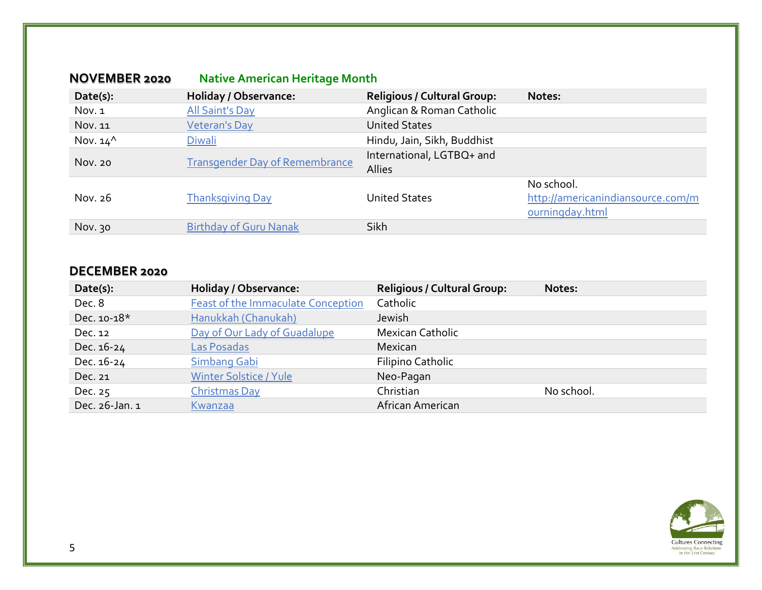| <b>NOVEMBER 2020</b> | <b>Native American Heritage Month</b> |                                     |                                                                    |
|----------------------|---------------------------------------|-------------------------------------|--------------------------------------------------------------------|
| Date(s):             | <b>Holiday / Observance:</b>          | <b>Religious / Cultural Group:</b>  | Notes:                                                             |
| Nov. 1               | <b>All Saint's Day</b>                | Anglican & Roman Catholic           |                                                                    |
| Nov. 11              | Veteran's Day                         | <b>United States</b>                |                                                                    |
| Nov. $14^{\wedge}$   | Diwali                                | Hindu, Jain, Sikh, Buddhist         |                                                                    |
| Nov. 20              | <b>Transgender Day of Remembrance</b> | International, LGTBQ+ and<br>Allies |                                                                    |
| Nov. 26              | <b>Thanksgiving Day</b>               | <b>United States</b>                | No school.<br>http://americanindiansource.com/m<br>ourningday.html |
| Nov. 30              | <b>Birthday of Guru Nanak</b>         | Sikh                                |                                                                    |

#### **DECEMBER 2020**

| Date(s):       | <b>Holiday / Observance:</b>              | <b>Religious / Cultural Group:</b> | Notes:     |
|----------------|-------------------------------------------|------------------------------------|------------|
| Dec. 8         | <b>Feast of the Immaculate Conception</b> | Catholic                           |            |
| Dec. 10-18*    | Hanukkah (Chanukah)                       | Jewish                             |            |
| Dec. 12        | Day of Our Lady of Guadalupe              | <b>Mexican Catholic</b>            |            |
| Dec. 16-24     | Las Posadas                               | Mexican                            |            |
| Dec. 16-24     | <b>Simbang Gabi</b>                       | Filipino Catholic                  |            |
| Dec. 21        | <b>Winter Solstice / Yule</b>             | Neo-Pagan                          |            |
| Dec. 25        | Christmas Day                             | Christian                          | No school. |
| Dec. 26-Jan. 1 | Kwanzaa                                   | African American                   |            |

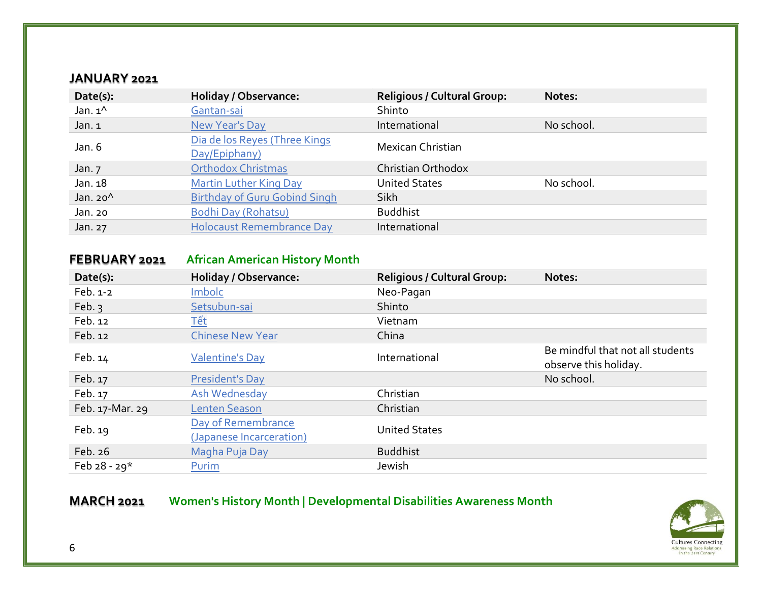#### **JANUARY 2021**

| Date(s):          | <b>Holiday / Observance:</b>                   | <b>Religious / Cultural Group:</b> | Notes:     |
|-------------------|------------------------------------------------|------------------------------------|------------|
| Jan. $1^{\wedge}$ | Gantan-sai                                     | Shinto                             |            |
| Jan. 1            | New Year's Day                                 | International                      | No school. |
| Jan. $6$          | Dia de los Reyes (Three Kings<br>Day/Epiphany) | Mexican Christian                  |            |
| Jan. $7$          | <b>Orthodox Christmas</b>                      | Christian Orthodox                 |            |
| Jan. 18           | <b>Martin Luther King Day</b>                  | <b>United States</b>               | No school. |
| Jan. $20^{\circ}$ | <b>Birthday of Guru Gobind Singh</b>           | Sikh                               |            |
| Jan. 20           | Bodhi Day (Rohatsu)                            | <b>Buddhist</b>                    |            |
| Jan. 27           | <b>Holocaust Remembrance Day</b>               | International                      |            |

#### **FEBRUARY 2021 African American History Month**

| Date(s):        | <b>Holiday / Observance:</b>                   | <b>Religious / Cultural Group:</b> | Notes:                                                    |
|-----------------|------------------------------------------------|------------------------------------|-----------------------------------------------------------|
| Feb. 1-2        | Imbolc                                         | Neo-Pagan                          |                                                           |
| Feb. $3$        | Setsubun-sai                                   | Shinto                             |                                                           |
| Feb. 12         | <u>Tết</u>                                     | Vietnam                            |                                                           |
| Feb. 12         | <b>Chinese New Year</b>                        | China                              |                                                           |
| Feb. 14         | <b>Valentine's Day</b>                         | International                      | Be mindful that not all students<br>observe this holiday. |
| Feb. 17         | <b>President's Day</b>                         |                                    | No school.                                                |
| Feb. 17         | Ash Wednesday                                  | Christian                          |                                                           |
| Feb. 17-Mar. 29 | <b>Lenten Season</b>                           | Christian                          |                                                           |
| Feb. 19         | Day of Remembrance<br>(Japanese Incarceration) | <b>United States</b>               |                                                           |
| Feb. 26         | Magha Puja Day                                 | <b>Buddhist</b>                    |                                                           |
| Feb $28 - 29*$  | Purim                                          | Jewish                             |                                                           |

# **MARCH 2021 Women's History Month | Developmental Disabilities Awareness Month**

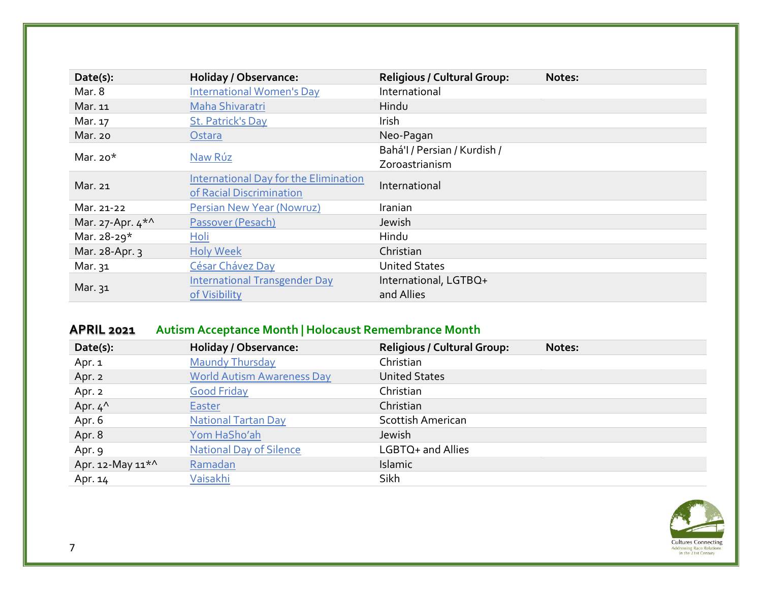| Date(s):           | <b>Holiday / Observance:</b>          | <b>Religious / Cultural Group:</b> | Notes: |
|--------------------|---------------------------------------|------------------------------------|--------|
| Mar. 8             | <b>International Women's Day</b>      | International                      |        |
| Mar. 11            | Maha Shivaratri                       | Hindu                              |        |
| Mar. 17            | St. Patrick's Day                     | Irish                              |        |
| Mar. 20            | Ostara                                | Neo-Pagan                          |        |
| Mar. $20*$         | Naw Rúz                               | Bahá'l / Persian / Kurdish /       |        |
|                    |                                       | Zoroastrianism                     |        |
| Mar. 21            | International Day for the Elimination | International                      |        |
|                    | of Racial Discrimination              |                                    |        |
| Mar. 21-22         | Persian New Year (Nowruz)             | Iranian                            |        |
| Mar. 27-Apr. $4^*$ | Passover (Pesach)                     | Jewish                             |        |
| Mar. 28-29*        | Holi                                  | Hindu                              |        |
| Mar. 28-Apr. 3     | <b>Holy Week</b>                      | Christian                          |        |
| Mar. 31            | César Chávez Day                      | <b>United States</b>               |        |
|                    | <b>International Transgender Day</b>  | International, LGTBQ+              |        |
| Mar. 31            | of Visibility                         | and Allies                         |        |

# **APRIL 2021 Autism Acceptance Month | Holocaust Remembrance Month**

| Date(s):                     | <b>Holiday / Observance:</b>      | <b>Religious / Cultural Group:</b> | Notes: |
|------------------------------|-----------------------------------|------------------------------------|--------|
| Apr. 1                       | <b>Maundy Thursday</b>            | Christian                          |        |
| Apr. 2                       | <b>World Autism Awareness Day</b> | <b>United States</b>               |        |
| Apr. 2                       | <b>Good Friday</b>                | Christian                          |        |
| Apr. $4^{\wedge}$            | <b>Easter</b>                     | Christian                          |        |
| Apr. 6                       | <b>National Tartan Day</b>        | <b>Scottish American</b>           |        |
| Apr. 8                       | Yom HaSho'ah                      | Jewish                             |        |
| Apr. 9                       | <b>National Day of Silence</b>    | LGBTQ+ and Allies                  |        |
| Apr. 12-May 11 <sup>*^</sup> | Ramadan                           | Islamic                            |        |
| Apr. 14                      | Vaisakhi                          | Sikh                               |        |

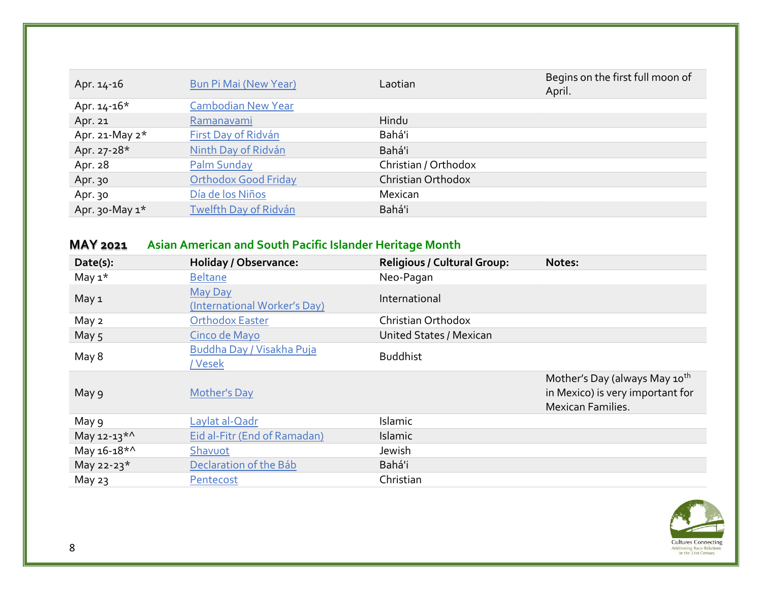| Apr. 14-16        | <b>Bun Pi Mai (New Year)</b> | Laotian              | Begins on the first full moon of<br>April. |
|-------------------|------------------------------|----------------------|--------------------------------------------|
| Apr. $14 - 16*$   | <b>Cambodian New Year</b>    |                      |                                            |
| Apr. 21           | Ramanavami                   | Hindu                |                                            |
| Apr. 21-May $2^*$ | First Day of Ridván          | Bahá'i               |                                            |
| Apr. 27-28*       | Ninth Day of Ridván          | Bahá'i               |                                            |
| Apr. 28           | Palm Sunday                  | Christian / Orthodox |                                            |
| Apr. 30           | <b>Orthodox Good Friday</b>  | Christian Orthodox   |                                            |
| Apr. 30           | Día de los Niños             | Mexican              |                                            |
| Apr. 30-May $1^*$ | Twelfth Day of Ridván        | Bahá'i               |                                            |

# **MAY 2021 Asian American and South Pacific Islander Heritage Month**

| Date(s):                | <b>Holiday / Observance:</b>                   | <b>Religious / Cultural Group:</b> | Notes:                                                                                                    |
|-------------------------|------------------------------------------------|------------------------------------|-----------------------------------------------------------------------------------------------------------|
| May $1^*$               | <b>Beltane</b>                                 | Neo-Pagan                          |                                                                                                           |
| May 1                   | <b>May Day</b><br>(International Worker's Day) | International                      |                                                                                                           |
| May 2                   | <b>Orthodox Easter</b>                         | Christian Orthodox                 |                                                                                                           |
| May 5                   | Cinco de Mayo                                  | <b>United States / Mexican</b>     |                                                                                                           |
| May 8                   | Buddha Day / Visakha Puja<br>/ Vesek           | <b>Buddhist</b>                    |                                                                                                           |
| May 9                   | <b>Mother's Day</b>                            |                                    | Mother's Day (always May 10 <sup>th</sup><br>in Mexico) is very important for<br><b>Mexican Families.</b> |
| May 9                   | Laylat al-Qadr                                 | Islamic                            |                                                                                                           |
| May 12-13 <sup>*^</sup> | Eid al-Fitr (End of Ramadan)                   | Islamic                            |                                                                                                           |
| May 16-18*^             | Shavuot                                        | Jewish                             |                                                                                                           |
| May 22-23*              | Declaration of the Báb                         | Bahá'i                             |                                                                                                           |
| May $23$                | Pentecost                                      | Christian                          |                                                                                                           |

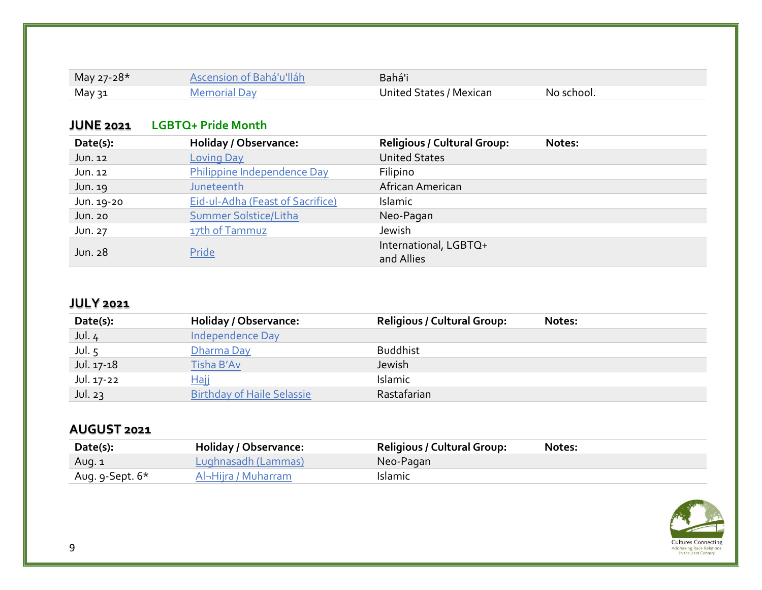| May 27-28* | Ascension of Bahá'u'lláh | Bahá'i                  |            |
|------------|--------------------------|-------------------------|------------|
| May วุ1    | Memorial Day             | United States / Mexican | No school. |

#### **JUNE 2021 LGBTQ+ Pride Month**

| Date(s):   | <b>Holiday / Observance:</b>            | <b>Religious / Cultural Group:</b>  | Notes: |
|------------|-----------------------------------------|-------------------------------------|--------|
| Jun. 12    | <b>Loving Day</b>                       | <b>United States</b>                |        |
| Jun. 12    | Philippine Independence Day             | Filipino                            |        |
| Jun. 19    | Juneteenth                              | African American                    |        |
| Jun. 19-20 | <b>Eid-ul-Adha (Feast of Sacrifice)</b> | Islamic                             |        |
| Jun. 20    | Summer Solstice/Litha                   | Neo-Pagan                           |        |
| Jun. 27    | 17th of Tammuz                          | Jewish                              |        |
| Jun. 28    | Pride                                   | International, LGBTQ+<br>and Allies |        |

#### **JULY 2021**

| Date(s):   | Holiday / Observance:             | <b>Religious / Cultural Group:</b> | Notes: |
|------------|-----------------------------------|------------------------------------|--------|
| Jul.4      | <b>Independence Day</b>           |                                    |        |
| Jul. $5$   | Dharma Day                        | <b>Buddhist</b>                    |        |
| Jul. 17-18 | Tisha B'Av                        | Jewish                             |        |
| Jul. 17-22 | <u>Haii</u>                       | Islamic                            |        |
| Jul. $23$  | <b>Birthday of Haile Selassie</b> | Rastafarian                        |        |

### **AUGUST 2021**

| Date(s):        | Holiday / Observance: | <b>Religious / Cultural Group:</b> | Notes: |
|-----------------|-----------------------|------------------------------------|--------|
| Aug. 1          | Lughnasadh (Lammas)   | Neo-Pagan                          |        |
| Aug. 9-Sept. 6* | Al-Hijra / Muharram   | <b>Islamic</b>                     |        |